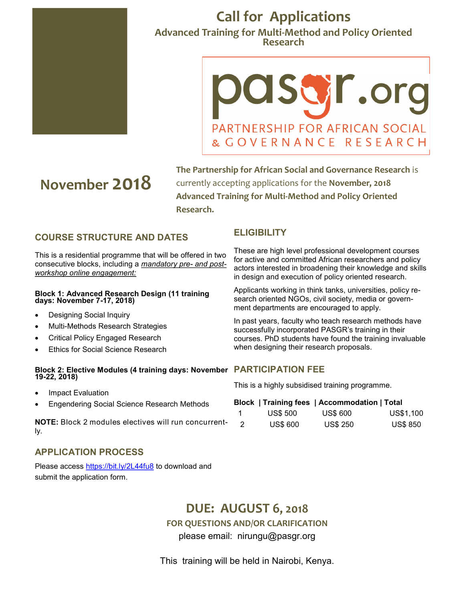

## **Call for Applications Advanced Training for Multi-Method and Policy Oriented Research**

# OISWT.org PARTNERSHIP FOR AFRICAN SOCIAL & GOVERNANCE RESEARCH

# **November 2018**

**The Partnership for African Social and Governance Research** is currently accepting applications for the **November, 2018 Advanced Training for Multi-Method and Policy Oriented Research.** 

## **COURSE STRUCTURE AND DATES**

This is a residential programme that will be offered in two consecutive blocks, including a *mandatory pre- and postworkshop online engagement:*

### **Block 1: Advanced Research Design (11 training days: November 7-17, 2018)**

- Designing Social Inquiry
- Multi-Methods Research Strategies
- Critical Policy Engaged Research
- Ethics for Social Science Research

## **Block 2: Elective Modules (4 training days: November PARTICIPATION FEE 19-22, 2018)**

- Impact Evaluation
- Engendering Social Science Research Methods

**NOTE:** Block 2 modules electives will run concurrently.

## **APPLICATION PROCESS**

Please access<https://bit.ly/2L44fu8> to download and submit the application form.

## **ELIGIBILITY**

These are high level professional development courses for active and committed African researchers and policy actors interested in broadening their knowledge and skills in design and execution of policy oriented research.

Applicants working in think tanks, universities, policy research oriented NGOs, civil society, media or government departments are encouraged to apply.

In past years, faculty who teach research methods have successfully incorporated PASGR's training in their courses. PhD students have found the training invaluable when designing their research proposals.

This is a highly subsidised training programme.

| Block   Training fees   Accommodation   Total |                 |                 |                 |
|-----------------------------------------------|-----------------|-----------------|-----------------|
| $\blacksquare$                                | <b>US\$ 500</b> | <b>US\$ 600</b> | US\$1,100       |
| $\overline{2}$                                | <b>US\$ 600</b> | <b>US\$ 250</b> | <b>US\$ 850</b> |

## **DUE: AUGUST 6, 2018**

**FOR QUESTIONS AND/OR CLARIFICATION**

please email: nirungu@pasgr.org

This training will be held in Nairobi, Kenya.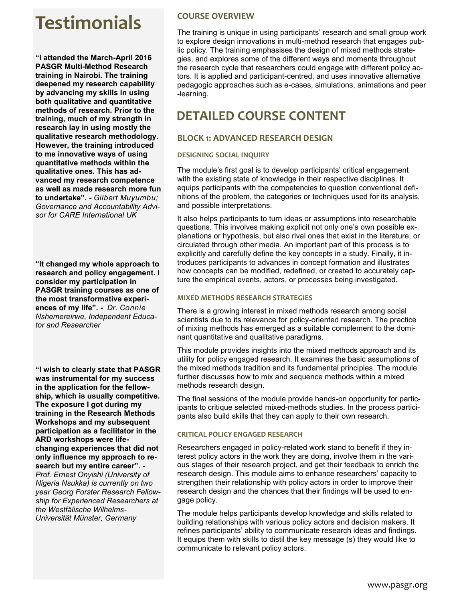# **Testimonials COURSE OVERVIEW**

**"I attended the March-April 2016 PASGR Multi-Method Research training in Nairobi. The training deepened my research capability by advancing my skills in using both qualitative and quantitative methods of research. Prior to the training, much of my strength in research lay in using mostly the qualitative research methodology. However, the training introduced to me innovative ways of using quantitative methods within the qualitative ones. This has advanced my research competence as well as made research more fun to undertake". -** *Gilbert Muyumbu; Governance and Accountability Advisor for CARE International UK* 

**"It changed my whole approach to research and policy engagement. I consider my participation in PASGR training courses as one of the most transformative experiences of my life". -** *Dr. Connie Nshemereirwe, Independent Educator and Researcher*

**"I wish to clearly state that PASGR was instrumental for my success in the application for the fellowship, which is usually competitive. The exposure I got during my training in the Research Methods Workshops and my subsequent participation as a facilitator in the ARD workshops were lifechanging experiences that did not only influence my approach to research but my entire career".** *- Prof. Ernest Onyishi (University of Nigeria Nsukka) is currently on two year Georg Forster Research Fellowship for Experienced Researchers at the Westfälische Wilhelms-Universität Münster, Germany* 

The training is unique in using participants' research and small group work to explore design innovations in multi-method research that engages public policy. The training emphasises the design of mixed methods strategies, and explores some of the different ways and moments throughout the research cycle that researchers could engage with different policy actors. It is applied and participant-centred, and uses innovative alternative pedagogic approaches such as e-cases, simulations, animations and peer -learning.

## **DETAILED COURSE CONTENT**

## **BLOCK 1: ADVANCED RESEARCH DESIGN**

## **DESIGNING SOCIAL INQUIRY**

The module's first goal is to develop participants' critical engagement with the existing state of knowledge in their respective disciplines. It equips participants with the competencies to question conventional definitions of the problem, the categories or techniques used for its analysis, and possible interpretations.

It also helps participants to turn ideas or assumptions into researchable questions. This involves making explicit not only one's own possible explanations or hypothesis, but also rival ones that exist in the literature, or circulated through other media. An important part of this process is to explicitly and carefully define the key concepts in a study. Finally, it introduces participants to advances in concept formation and illustrates how concepts can be modified, redefined, or created to accurately capture the empirical events, actors, or processes being investigated.

## **MIXED METHODS RESEARCH STRATEGIES**

There is a growing interest in mixed methods research among social scientists due to its relevance for policy-oriented research. The practice of mixing methods has emerged as a suitable complement to the dominant quantitative and qualitative paradigms.

This module provides insights into the mixed methods approach and its utility for policy engaged research. It examines the basic assumptions of the mixed methods tradition and its fundamental principles. The module further discusses how to mix and sequence methods within a mixed methods research design.

The final sessions of the module provide hands-on opportunity for participants to critique selected mixed-methods studies. In the process participants also build skills that they can apply to their own research.

## **CRITICAL POLICY ENGAGED RESEARCH**

Researchers engaged in policy-related work stand to benefit if they interest policy actors in the work they are doing, involve them in the various stages of their research project, and get their feedback to enrich the research design. This module aims to enhance researchers' capacity to strengthen their relationship with policy actors in order to improve their research design and the chances that their findings will be used to engage policy.

The module helps participants develop knowledge and skills related to building relationships with various policy actors and decision makers. It refines participants' ability to communicate research ideas and findings. It equips them with skills to distil the key message (s) they would like to communicate to relevant policy actors.